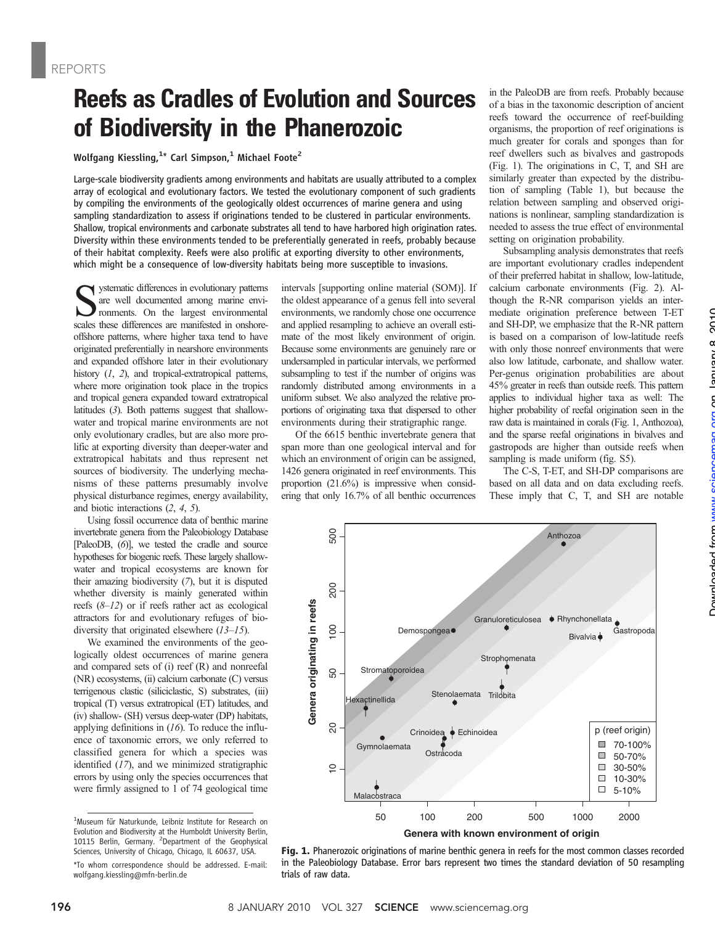## Reefs as Cradles of Evolution and Sources of Biodiversity in the Phanerozoic

Wolfgang Kiessling, $1*$  Carl Simpson, $1$  Michael Foote<sup>2</sup>

Large-scale biodiversity gradients among environments and habitats are usually attributed to a complex array of ecological and evolutionary factors. We tested the evolutionary component of such gradients by compiling the environments of the geologically oldest occurrences of marine genera and using sampling standardization to assess if originations tended to be clustered in particular environments. Shallow, tropical environments and carbonate substrates all tend to have harbored high origination rates. Diversity within these environments tended to be preferentially generated in reefs, probably because of their habitat complexity. Reefs were also prolific at exporting diversity to other environments, which might be a consequence of low-diversity habitats being more susceptible to invasions.

ystematic differences in evolutionary patterns are well documented among marine environments. On the largest environmental scales these differences are manifested in onshoreoffshore patterns, where higher taxa tend to have originated preferentially in nearshore environments and expanded offshore later in their evolutionary history  $(1, 2)$ , and tropical-extratropical patterns, where more origination took place in the tropics and tropical genera expanded toward extratropical latitudes (3). Both patterns suggest that shallowwater and tropical marine environments are not only evolutionary cradles, but are also more prolific at exporting diversity than deeper-water and extratropical habitats and thus represent net sources of biodiversity. The underlying mechanisms of these patterns presumably involve physical disturbance regimes, energy availability, and biotic interactions (2, 4, 5).

Using fossil occurrence data of benthic marine invertebrate genera from the Paleobiology Database [PaleoDB, (6)], we tested the cradle and source hypotheses for biogenic reefs. These largely shallowwater and tropical ecosystems are known for their amazing biodiversity (7), but it is disputed whether diversity is mainly generated within reefs  $(8-12)$  or if reefs rather act as ecological attractors for and evolutionary refuges of biodiversity that originated elsewhere (13–15).

We examined the environments of the geologically oldest occurrences of marine genera and compared sets of (i) reef (R) and nonreefal (NR) ecosystems, (ii) calcium carbonate (C) versus terrigenous clastic (siliciclastic, S) substrates, (iii) tropical (T) versus extratropical (ET) latitudes, and (iv) shallow- (SH) versus deep-water (DP) habitats, applying definitions in  $(16)$ . To reduce the influence of taxonomic errors, we only referred to classified genera for which a species was identified (17), and we minimized stratigraphic errors by using only the species occurrences that were firmly assigned to 1 of 74 geological time

intervals [supporting online material (SOM)]. If the oldest appearance of a genus fell into several environments, we randomly chose one occurrence and applied resampling to achieve an overall estimate of the most likely environment of origin. Because some environments are genuinely rare or undersampled in particular intervals, we performed subsampling to test if the number of origins was randomly distributed among environments in a uniform subset. We also analyzed the relative proportions of originating taxa that dispersed to other environments during their stratigraphic range.

Of the 6615 benthic invertebrate genera that span more than one geological interval and for which an environment of origin can be assigned, 1426 genera originated in reef environments. This proportion (21.6%) is impressive when considering that only 16.7% of all benthic occurrences

50

 $\Omega$ 

 $\frac{1}{2}$ 

 $\overline{5}$ 

500

8

**Genera originating in reefs**

Genera originating in reefs

in the PaleoDB are from reefs. Probably because of a bias in the taxonomic description of ancient reefs toward the occurrence of reef-building organisms, the proportion of reef originations is much greater for corals and sponges than for reef dwellers such as bivalves and gastropods (Fig. 1). The originations in C, T, and SH are similarly greater than expected by the distribution of sampling (Table 1), but because the relation between sampling and observed originations is nonlinear, sampling standardization is needed to assess the true effect of environmental setting on origination probability.

Subsampling analysis demonstrates that reefs are important evolutionary cradles independent of their preferred habitat in shallow, low-latitude, calcium carbonate environments (Fig. 2). Although the R-NR comparison yields an intermediate origination preference between T-ET and SH-DP, we emphasize that the R-NR pattern is based on a comparison of low-latitude reefs with only those nonreef environments that were also low latitude, carbonate, and shallow water. Per-genus origination probabilities are about 45% greater in reefs than outside reefs. This pattern applies to individual higher taxa as well: The higher probability of reefal origination seen in the raw data is maintained in corals (Fig. 1, Anthozoa), and the sparse reefal originations in bivalves and gastropods are higher than outside reefs when sampling is made uniform (fig. S5).

The C-S, T-ET, and SH-DP comparisons are based on all data and on data excluding reefs. These imply that C, T, and SH are notable

Bivalvia

Rhynchonellata

Gastropoda

p (reef origin) 70-100% 50-70% 30-50% 10-30% 5-10%

 $\blacksquare$  $\Box$ 

 $\Box$  $\Box$  $\overline{\phantom{a}}$ 

Anthozoa



Crinoidea Echinoidea

Stenolaemata

**Ostracoda** 

Demospongea<sup></sup>

50 100 200 500 1000 2000

**Granuloreticulosea** 

**Strophomenata** 

Trilobita

**Genera with known environment of origin**

Gymnolaemata

Malacostraca

exactinellida

Stromatoporoidea

<sup>1</sup> Museum für Naturkunde, Leibniz Institute for Research on Evolution and Biodiversity at the Humboldt University Berlin, 10115 Berlin, Germany. <sup>2</sup> Department of the Geophysical Sciences, University of Chicago, Chicago, IL 60637, USA.

<sup>\*</sup>To whom correspondence should be addressed. E-mail: wolfgang.kiessling@mfn-berlin.de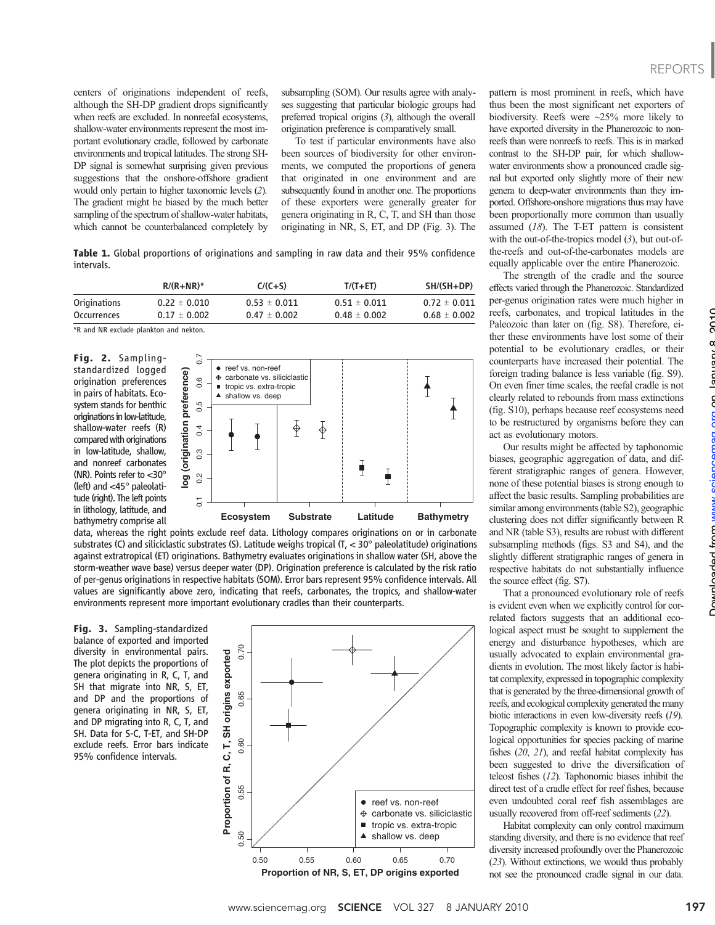centers of originations independent of reefs, although the SH-DP gradient drops significantly when reefs are excluded. In nonreefal ecosystems, shallow-water environments represent the most important evolutionary cradle, followed by carbonate environments and tropical latitudes. The strong SH-DP signal is somewhat surprising given previous suggestions that the onshore-offshore gradient would only pertain to higher taxonomic levels (2). The gradient might be biased by the much better sampling of the spectrum of shallow-water habitats, which cannot be counterbalanced completely by subsampling (SOM). Our results agree with analyses suggesting that particular biologic groups had preferred tropical origins (3), although the overall origination preference is comparatively small.

To test if particular environments have also been sources of biodiversity for other environments, we computed the proportions of genera that originated in one environment and are subsequently found in another one. The proportions of these exporters were generally greater for genera originating in R, C, T, and SH than those originating in NR, S, ET, and DP (Fig. 3). The

Table 1. Global proportions of originations and sampling in raw data and their 95% confidence intervals.

|              | $R/(R+NR)^*$     | $C/(C+S)$        | $T/(T + ET)$     | SH/(SH+DP)       |
|--------------|------------------|------------------|------------------|------------------|
| Originations | $0.22 \pm 0.010$ | $0.53 \pm 0.011$ | $0.51 \pm 0.011$ | $0.72 \pm 0.011$ |
| Occurrences  | $0.17 \pm 0.002$ | $0.47 \pm 0.002$ | $0.48 \pm 0.002$ | $0.68 \pm 0.002$ |

\*R and NR exclude plankton and nekton.

Fig. 2. Samplingstandardized logged origination preferences in pairs of habitats. Ecosystem stands for benthic originations in low-latitude, shallow-water reefs (R) compared with originations in low-latitude, shallow, and nonreef carbonates (NR). Points refer to <30° (left) and <45° paleolatitude (right). The left points in lithology, latitude, and bathymetry comprise all



data, whereas the right points exclude reef data. Lithology compares originations on or in carbonate substrates (C) and siliciclastic substrates (S). Latitude weighs tropical (T,  $<$  30 $^{\circ}$  paleolatitude) originations against extratropical (ET) originations. Bathymetry evaluates originations in shallow water (SH, above the storm-weather wave base) versus deeper water (DP). Origination preference is calculated by the risk ratio of per-genus originations in respective habitats (SOM). Error bars represent 95% confidence intervals. All values are significantly above zero, indicating that reefs, carbonates, the tropics, and shallow-water

Fig. 3. Sampling-standardized balance of exported and imported diversity in environmental pairs. The plot depicts the proportions of genera originating in R, C, T, and SH that migrate into NR, S, ET, and DP and the proportions of genera originating in NR, S, ET, and DP migrating into R, C, T, and SH. Data for S-C, T-ET, and SH-DP exclude reefs. Error bars indicate 95% confidence intervals.



pattern is most prominent in reefs, which have thus been the most significant net exporters of biodiversity. Reefs were ~25% more likely to have exported diversity in the Phanerozoic to nonreefs than were nonreefs to reefs. This is in marked contrast to the SH-DP pair, for which shallowwater environments show a pronounced cradle signal but exported only slightly more of their new genera to deep-water environments than they imported. Offshore-onshore migrations thus may have been proportionally more common than usually assumed (18). The T-ET pattern is consistent with the out-of-the-tropics model (3), but out-ofthe-reefs and out-of-the-carbonates models are equally applicable over the entire Phanerozoic.

The strength of the cradle and the source effects varied through the Phanerozoic. Standardized per-genus origination rates were much higher in reefs, carbonates, and tropical latitudes in the Paleozoic than later on (fig. S8). Therefore, either these environments have lost some of their potential to be evolutionary cradles, or their counterparts have increased their potential. The foreign trading balance is less variable (fig. S9). On even finer time scales, the reefal cradle is not clearly related to rebounds from mass extinctions (fig. S10), perhaps because reef ecosystems need to be restructured by organisms before they can act as evolutionary motors.

Our results might be affected by taphonomic biases, geographic aggregation of data, and different stratigraphic ranges of genera. However, none of these potential biases is strong enough to affect the basic results. Sampling probabilities are similar among environments (table S2), geographic clustering does not differ significantly between R and NR (table S3), results are robust with different subsampling methods (figs. S3 and S4), and the slightly different stratigraphic ranges of genera in respective habitats do not substantially influence the source effect (fig. S7).

That a pronounced evolutionary role of reefs is evident even when we explicitly control for correlated factors suggests that an additional ecological aspect must be sought to supplement the energy and disturbance hypotheses, which are usually advocated to explain environmental gradients in evolution. The most likely factor is habitat complexity, expressed in topographic complexity that is generated by the three-dimensional growth of reefs, and ecological complexity generated the many biotic interactions in even low-diversity reefs (19). Topographic complexity is known to provide ecological opportunities for species packing of marine fishes (20, 21), and reefal habitat complexity has been suggested to drive the diversification of teleost fishes (12). Taphonomic biases inhibit the direct test of a cradle effect for reef fishes, because even undoubted coral reef fish assemblages are usually recovered from off-reef sediments (22).

Habitat complexity can only control maximum standing diversity, and there is no evidence that reef diversity increased profoundly over the Phanerozoic (23). Without extinctions, we would thus probably not see the pronounced cradle signal in our data.